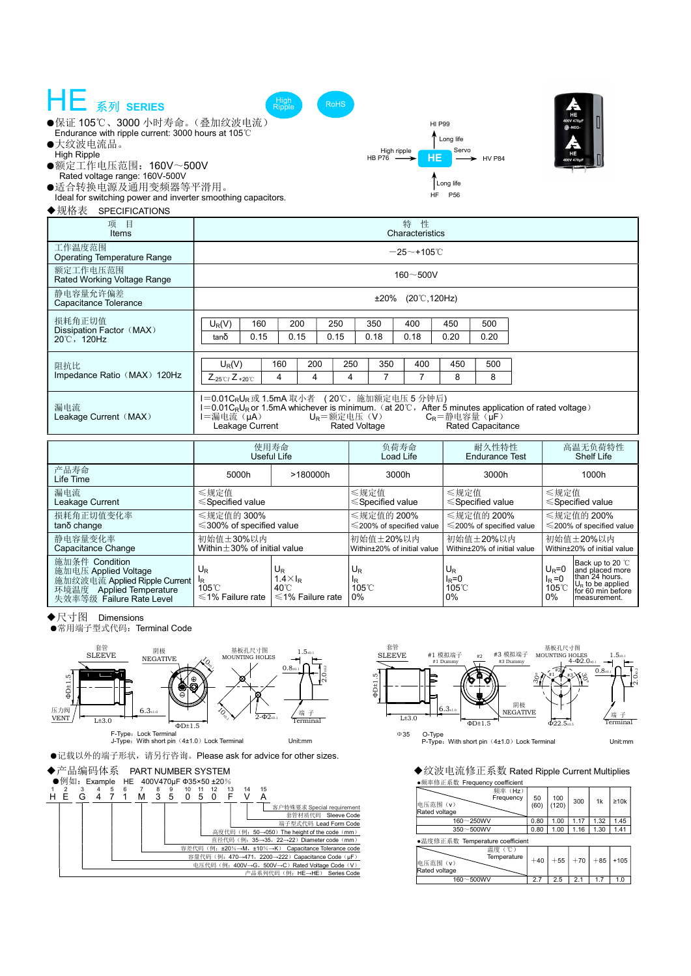| HE 系列 SERIES<br>High<br>Ripple<br><b>RoHS</b><br>●保证 105℃、3000 小时寿命。(叠加纹波电流)<br><b>HI P99</b><br><b>B</b> -NEG-<br>Endurance with ripple current: 3000 hours at 105°C<br>Long life<br>●大纹波电流品。<br>Servo<br>High ripple<br><b>High Ripple</b><br>HE<br>HE<br>HB P76 -<br><b>HV P84</b><br>400V 470u<br>●额定工作电压范围: 160V~500V<br>Rated voltage range: 160V-500V<br>Long life<br>●适合转换电源及通用变频器等平滑用。<br>HF.<br>P <sub>56</sub><br>Ideal for switching power and inverter smoothing capacitors.<br>◆规格表<br>SPECIFICATIONS |                                                                                                                                |  |                                          |  |                                                    |                                          |                                            |                                              |                                          |       |                                                                                                                   |  |
|---------------------------------------------------------------------------------------------------------------------------------------------------------------------------------------------------------------------------------------------------------------------------------------------------------------------------------------------------------------------------------------------------------------------------------------------------------------------------------------------------------------------|--------------------------------------------------------------------------------------------------------------------------------|--|------------------------------------------|--|----------------------------------------------------|------------------------------------------|--------------------------------------------|----------------------------------------------|------------------------------------------|-------|-------------------------------------------------------------------------------------------------------------------|--|
| 特<br>性<br>项目<br>Characteristics<br>Items                                                                                                                                                                                                                                                                                                                                                                                                                                                                            |                                                                                                                                |  |                                          |  |                                                    |                                          |                                            |                                              |                                          |       |                                                                                                                   |  |
| 工作温度范围<br><b>Operating Temperature Range</b>                                                                                                                                                                                                                                                                                                                                                                                                                                                                        | $-25$ ~+105 $°C$                                                                                                               |  |                                          |  |                                                    |                                          |                                            |                                              |                                          |       |                                                                                                                   |  |
| 额定工作电压范围<br>Rated Working Voltage Range                                                                                                                                                                                                                                                                                                                                                                                                                                                                             | $160 - 500V$                                                                                                                   |  |                                          |  |                                                    |                                          |                                            |                                              |                                          |       |                                                                                                                   |  |
| 静电容量允许偏差<br>Capacitance Tolerance                                                                                                                                                                                                                                                                                                                                                                                                                                                                                   | $±20\%$ (20 °C, 120Hz)                                                                                                         |  |                                          |  |                                                    |                                          |                                            |                                              |                                          |       |                                                                                                                   |  |
| 损耗角正切值<br>Dissipation Factor (MAX)<br>20°C,120Hz                                                                                                                                                                                                                                                                                                                                                                                                                                                                    | 160<br>200<br>250<br>$U_R(V)$<br>0.15<br>0.15<br>0.15<br>tanδ                                                                  |  |                                          |  | 350<br>0.18                                        | 400<br>0.18                              | 450<br>0.20                                | 500<br>0.20                                  |                                          |       |                                                                                                                   |  |
| 阻抗比<br>Impedance Ratio (MAX) 120Hz                                                                                                                                                                                                                                                                                                                                                                                                                                                                                  | $U_R(V)$<br>160<br>200<br>$Z_{-25\degree\text{C}}$ / $Z_{+20\degree\text{C}}$<br>4<br>4                                        |  |                                          |  | 250<br>350<br>4<br>$\overline{7}$                  | 400<br>$\overline{7}$                    | 450<br>8                                   | 500<br>8                                     |                                          |       |                                                                                                                   |  |
| 1=0.01CRUR 或 1.5mA 取小者 (20℃, 施加额定电压 5 分钟后)<br>漏电流<br>$I=0.01C_RU_R$ or 1.5mA whichever is minimum. (at 20°C, After 5 minutes application of rated voltage)<br>Leakage Current (MAX)<br>l=漏电流(µA)<br>$U_R = $ 额定电压 $(V)$<br>$C_R$ =静电容量 $(iF)$<br>Leakage Current<br><b>Rated Capacitance</b><br><b>Rated Voltage</b>                                                                                                                                                                                                |                                                                                                                                |  |                                          |  |                                                    |                                          |                                            |                                              |                                          |       |                                                                                                                   |  |
|                                                                                                                                                                                                                                                                                                                                                                                                                                                                                                                     | 使用寿命<br>Useful Life                                                                                                            |  |                                          |  |                                                    | 负荷寿命<br>Load Life                        |                                            | 耐久性特性<br><b>Endurance Test</b>               |                                          |       | 高温无负荷特性<br><b>Shelf Life</b>                                                                                      |  |
| 产品寿命<br>Life Time                                                                                                                                                                                                                                                                                                                                                                                                                                                                                                   | 5000h                                                                                                                          |  | >180000h                                 |  | 3000h                                              |                                          |                                            | 3000h                                        |                                          | 1000h |                                                                                                                   |  |
| 漏电流<br>Leakage Current                                                                                                                                                                                                                                                                                                                                                                                                                                                                                              | ≤规定值<br>$\leq$ Specified value                                                                                                 |  |                                          |  | ≤规定值<br>$\leq$ Specified value                     |                                          |                                            | ≤规定值<br>$\leq$ Specified value               |                                          |       | ≤规定值<br>$\leq$ Specified value                                                                                    |  |
| 损耗角正切值变化率<br>tanδ change                                                                                                                                                                                                                                                                                                                                                                                                                                                                                            | ≤规定值的 300%<br>$\leq$ 300% of specified value                                                                                   |  |                                          |  | ≤规定值的 200%<br>$\leq$ 200% of specified value       |                                          |                                            | ≤规定值的 200%<br>$\leq$ 200% of specified value |                                          |       | ≤规定值的 200%<br>≤200% of specified value                                                                            |  |
| 静电容量变化率<br>Capacitance Change                                                                                                                                                                                                                                                                                                                                                                                                                                                                                       | 初始值±30%以内<br>Within $\pm 30\%$ of initial value                                                                                |  | 初始值±20%以内<br>Within±20% of initial value |  |                                                    | 初始值土20%以内<br>Within±20% of initial value |                                            |                                              | 初始值±20%以内<br>Within±20% of initial value |       |                                                                                                                   |  |
| 施加条件 Condition<br>施加电压 Applied Voltage<br>施加纹波电流 Applied Ripple Current<br>环境温度 Applied Temperature<br>失效率等级 Failure Rate Level                                                                                                                                                                                                                                                                                                                                                                                     | $U_{R}$<br>U <sub>R</sub><br>$1.4 \times I_R$<br>$105^{\circ}$ C<br>40°C<br>$\leq 1\%$ Failure rate<br>$\leq 1\%$ Failure rate |  |                                          |  | $U_{R}$<br>l <sub>R</sub><br>$105^{\circ}$ C<br>0% |                                          | U <sub>R</sub><br>$I_R = 0$<br>105°C<br>0% |                                              |                                          |       | Back up to 20 °C<br>and placed more<br>than 24 hours.<br>$U_R$ to be applied<br>for 60 min before<br>measurement. |  |

◆尺寸图 Dimensions

●常用端子型式代码: Terminal Code



●记载以外的端子形状,请另行咨询。Please ask for advice for other sizes.





・・シャット 出版 http://www.html<br>●频率修正系数 Frequency coefficient

| $\bullet$ $\alpha$ $\rightarrow$ $\alpha$ $\alpha$ $\rightarrow$ $\alpha$ $\alpha$ $\alpha$ $\alpha$ $\alpha$<br><b>VUUILUIUIL</b> |            |              |       |       |            |
|------------------------------------------------------------------------------------------------------------------------------------|------------|--------------|-------|-------|------------|
| 频率(Hz)<br>Frequency<br>电压范围(v)<br>Rated voltage                                                                                    | 50<br>(60) | 100<br>(120) | 300   | 1k    | $\geq 10k$ |
| 160~250WV                                                                                                                          | 0.80       | 1.00         | 1.17  | 1.32  | 1.45       |
| 350~500WV                                                                                                                          | 0.80       | 1.00         | 1.16  | 1.30  | 1.41       |
| ●温度修正系数 Temperature coefficient                                                                                                    |            |              |       |       |            |
| 温度(℃)<br>Temperature<br>电压范围(v)<br>Rated voltage                                                                                   | $+40$      | $+55$        | $+70$ | $+85$ | $+105$     |
| 160~500WV                                                                                                                          | 2.7        | 2.5          | 2.1   |       | 1.0        |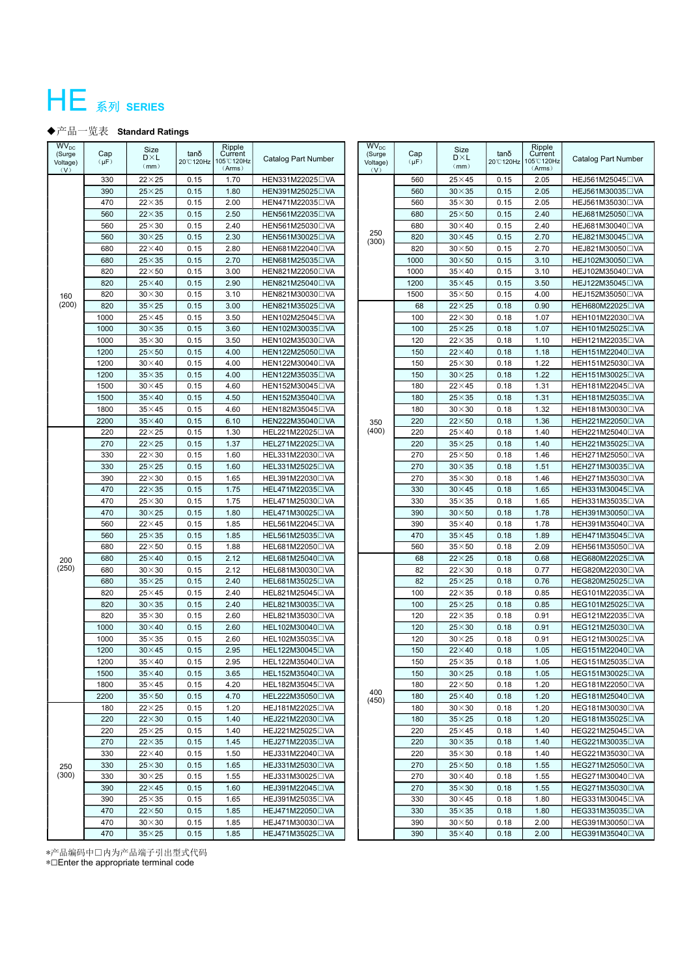## HE 系列 SERIES

## ◆产品一览表 Standard Ratings

| <b>WV<sub>DC</sub></b><br>(Surge<br>Voltage)<br>(V) | Cap<br>$(\mu F)$ | Size<br>$D\times L$<br>(mm) | tanδ<br>20°C120Hz | Ripple<br>Current<br>105°C120Hz<br>(Arms) | Catalog Part Number           | <b>WV<sub>DC</sub></b><br>(Surge<br>Voltage)<br>(V) | Cap<br>$(\mu F)$ | Size<br>$D \times L$<br>(mm) | tanδ<br>20°C120Hz | Ripple<br>Current<br>105°C120Hz<br>(Arms) | Catalog Part Number           |
|-----------------------------------------------------|------------------|-----------------------------|-------------------|-------------------------------------------|-------------------------------|-----------------------------------------------------|------------------|------------------------------|-------------------|-------------------------------------------|-------------------------------|
|                                                     | 330              | $22\times 25$               | 0.15              | 1.70                                      | HEN331M22025□VA               |                                                     | 560              | $25\times 45$                | 0.15              | 2.05                                      | HEJ561M25045□VA               |
|                                                     | 390              | $25\times25$                | 0.15              | 1.80                                      | HEN391M25025□VA               |                                                     | 560              | $30 \times 35$               | 0.15              | 2.05                                      | HEJ561M30035□VA               |
|                                                     | 470              | $22\times35$                | 0.15              | 2.00                                      | HEN471M22035□VA               |                                                     | 560              | $35\times30$                 | 0.15              | 2.05                                      | HEJ561M35030 OVA              |
|                                                     | 560              | $22\times35$                | 0.15              | 2.50                                      | HEN561M22035□VA               |                                                     | 680              | $25\times50$                 | 0.15              | 2.40                                      | HEJ681M25050 OVA              |
|                                                     | 560              | $25\times30$                | 0.15              | 2.40                                      | HEN561M25030□VA               | 250                                                 | 680              | $30\times40$                 | 0.15              | 2.40                                      | HEJ681M30040□VA               |
|                                                     | 560              | $30\times25$                | 0.15              | 2.30                                      | HEN561M30025□VA               | (300)                                               | 820              | $30\times45$                 | 0.15              | 2.70                                      | HEJ821M30045□VA               |
|                                                     | 680              | $22\times 40$               | 0.15              | 2.80                                      | HEN681M22040□VA               |                                                     | 820              | $30\times50$                 | 0.15              | 2.70                                      | HEJ821M30050□VA               |
| 160<br>(200)                                        | 680              | $25\times35$                | 0.15              | 2.70                                      | HEN681M25035□VA               |                                                     | 1000             | $30\times50$                 | 0.15              | 3.10                                      | HEJ102M30050 OVA              |
|                                                     | 820              | $22\times50$                | 0.15              | 3.00                                      | HEN821M22050□VA               |                                                     | 1000             | $35\times40$                 | 0.15              | 3.10                                      | HEJ102M35040□VA               |
|                                                     | 820              | $25\times 40$               | 0.15              | 2.90                                      | HEN821M25040□VA               |                                                     | 1200             | $35\times 45$                | 0.15              | 3.50                                      | HEJ122M35045□VA               |
|                                                     | 820              | $30\times30$                | 0.15              | 3.10                                      | HEN821M30030 <sup>O</sup> VA  |                                                     | 1500             | $35\times50$                 | 0.15              | 4.00                                      | HEJ152M35050□VA               |
|                                                     | 820              | $35\times25$                | 0.15              | 3.00                                      | HEN821M35025□VA               |                                                     | 68               | $22\times 25$                | 0.18              | 0.90                                      | HEH680M22025□VA               |
|                                                     | 1000             | $25\times 45$               | 0.15              | 3.50                                      | HEN102M25045□VA               |                                                     | 100              | $22\times30$                 | 0.18              | 1.07                                      | HEH101M22030 <sup>O</sup> VA  |
|                                                     | 1000             | $30\times35$                | 0.15              | 3.60                                      | HEN102M30035 <sup>O</sup> VA  |                                                     | 100              | $25\times25$                 | 0.18              | 1.07                                      | HEH101M25025□VA               |
|                                                     | 1000             | $35\times30$                | 0.15              | 3.50                                      | HEN102M35030□VA               |                                                     | 120              | $22\times35$                 | 0.18              | 1.10                                      | HEH121M22035□VA               |
|                                                     | 1200             | $25\times50$                | 0.15              | 4.00                                      | HEN122M25050□VA               |                                                     | 150              | $22\times 40$                | 0.18              | 1.18                                      | HEH151M22040□VA               |
|                                                     | 1200             | $30\times40$                | 0.15              | 4.00                                      | HEN122M30040□VA               |                                                     | 150              | $25\times30$                 | 0.18              | 1.22                                      | HEH151M25030 <sup>O</sup> VA  |
|                                                     | 1200             | $35\times35$                | 0.15              | 4.00                                      | HEN122M35035□VA               |                                                     | 150              | $30\times25$                 | 0.18              | 1.22                                      | HEH151M30025□VA               |
|                                                     | 1500             | $30\times 45$               | 0.15              | 4.60                                      | HEN152M30045□VA               |                                                     | 180              | $22\times 45$                | 0.18              | 1.31                                      | HEH181M22045□VA               |
|                                                     | 1500             | $35\times40$                | 0.15              | 4.50                                      | HEN152M35040□VA               |                                                     | 180              | $25\times35$                 | 0.18              | 1.31                                      | HEH181M25035 <sup>OVA</sup>   |
|                                                     | 1800             | $35\times 45$               | 0.15              | 4.60                                      | HEN182M35045□VA               |                                                     | 180              | $30\times30$                 | 0.18              | 1.32                                      | HEH181M30030 <sup>O</sup> VA  |
|                                                     | 2200             | $35\times40$                | 0.15              | 6.10                                      | HEN222M35040□VA               | 350                                                 | 220              | $22\times50$                 | 0.18              | 1.36                                      | HEH221M22050□VA               |
|                                                     | 220              | $22\times 25$               | 0.15              | 1.30                                      | HEL221M22025 <sup>UVA</sup>   | (400)                                               | 220              | $25\times 40$                | 0.18              | 1.40                                      | HEH221M25040□VA               |
|                                                     | 270              | $22\times 25$               | 0.15              | 1.37                                      | HEL271M22025 <sup>[1</sup> VA |                                                     | 220              | $35\times25$                 | 0.18              | 1.40                                      | HEH221M35025□VA               |
|                                                     | 330              | $22\times30$                | 0.15              | 1.60                                      | HEL331M22030 UVA              |                                                     | 270              | $25\times50$                 | 0.18              | 1.46                                      | HEH271M25050□VA               |
|                                                     | 330              | $25\times25$                | 0.15              | 1.60                                      | HEL331M25025□VA               |                                                     | 270              | $30\times35$                 | 0.18              | 1.51                                      | HEH271M30035□VA               |
|                                                     | 390              | $22\times30$                | 0.15              | 1.65                                      | HEL391M22030 VA               |                                                     | 270              | $35\times30$                 | 0.18              | 1.46                                      | HEH271M35030□VA               |
|                                                     | 470              | $22\times35$                | 0.15              | 1.75                                      | HEL471M22035□VA               |                                                     | 330              | $30\times 45$                | 0.18              | 1.65                                      | HEH331M30045□VA               |
|                                                     | 470              | $25\times30$                | 0.15              | 1.75                                      | HEL471M25030 VA               |                                                     | 330              | $35\times35$                 | 0.18              | 1.65                                      | HEH331M35035□VA               |
|                                                     | 470              | $30\times25$                | 0.15              | 1.80                                      | HEL471M30025 <sup>1</sup> VA  |                                                     | 390              | $30\times50$                 | 0.18              | 1.78                                      | HEH391M30050□VA               |
|                                                     | 560              | $22\times 45$               | 0.15              | 1.85                                      | HEL561M22045 <sup>UVA</sup>   |                                                     | 390              | $35\times40$                 | 0.18              | 1.78                                      | HEH391M35040□VA               |
|                                                     | 560              | $25\times35$                | 0.15              | 1.85                                      | HEL561M25035 <sup>UVA</sup>   |                                                     | 470              | $35\times 45$                | 0.18              | 1.89                                      | HEH471M35045□VA               |
|                                                     | 680              | $22\times50$                | 0.15              | 1.88                                      | HEL681M22050 VA               |                                                     | 560              | $35\times50$                 | 0.18              | 2.09                                      | HEH561M35050□VA               |
| 200                                                 | 680              | $25\times 40$               | 0.15              | 2.12                                      | HEL681M25040□VA               |                                                     | 68               | $22\times 25$                | 0.18              | 0.68                                      | HEG680M22025 <sup>[]</sup> VA |
| (250)                                               | 680              | $30\times30$                | 0.15              | 2.12                                      | HEL681M30030 <sup>O</sup> VA  |                                                     | 82               | $22\times30$                 | 0.18              | 0.77                                      | HEG820M22030 UVA              |
|                                                     | 680              | $35\times25$                | 0.15              | 2.40                                      | HEL681M35025 <sup>1</sup> VA  |                                                     | 82               | $25\times 25$                | 0.18              | 0.76                                      | HEG820M25025□VA               |
|                                                     | 820              | $25\times 45$               | 0.15              | 2.40                                      | HEL821M25045 <sup>UVA</sup>   |                                                     | 100              | $22\times35$                 | 0.18              | 0.85                                      | HEG101M22035 <sup>[1</sup> VA |
|                                                     | 820              | $30\times35$                | 0.15              | 2.40                                      | HEL821M30035 <sup>1</sup> VA  |                                                     | 100              | $25\times 25$                | 0.18              | 0.85                                      | HEG101M25025□VA               |
|                                                     | 820              | $35\times30$                | 0.15              | 2.60                                      | HEL821M35030 VA               |                                                     | 120              | $22\times35$                 | 0.18              | 0.91                                      | HEG121M22035 <sup>[1</sup> VA |
|                                                     | 1000             | $30\times40$                | 0.15              | 2.60                                      | HEL102M30040 <sup>O</sup> VA  |                                                     | 120              | $25\times30$                 | 0.18              | 0.91                                      | HEG121M25030 <sup>O</sup> VA  |
|                                                     | 1000             | $35\times35$                | 0.15              | 2.60                                      | HEL102M35035 <sup>U</sup> VA  |                                                     | 120              | $30\times25$                 | 0.18              | 0.91                                      | HEG121M30025 <sup>[]</sup> VA |
|                                                     | 1200             | $30\times 45$               | 0.15              | 2.95                                      | HEL122M30045 <sup>U</sup> VA  |                                                     | 150              | $22\times 40$                | 0.18              | 1.05                                      | HEG151M22040□VA               |
|                                                     | 1200             | $35\times40$                | 0.15              | 2.95                                      | HEL122M35040□VA               |                                                     | 150              | $25\times35$                 | 0.18              | 1.05                                      | HEG151M25035□VA               |
|                                                     | 1500             | $35\times40$                | 0.15              | 3.65                                      | HEL152M35040□VA               |                                                     | 150              | $30\times25$                 | 0.18              | 1.05                                      | HEG151M30025□VA               |
|                                                     | 1800             | $35\times 45$               | 0.15              | 4.20                                      | HEL182M35045□VA               | 400                                                 | 180              | $22\times50$                 | 0.18              | 1.20                                      | HEG181M22050□VA               |
|                                                     | 2200             | $35\times50$                | 0.15              | 4.70                                      | HEL222M35050 OVA              | (450)                                               | 180              | $25\times 40$                | 0.18              | 1.20                                      | HEG181M25040□VA               |
|                                                     | 180              | $22\times 25$               | 0.15              | 1.20                                      | HEJ181M22025□VA               |                                                     | 180              | $30\times30$                 | 0.18              | 1.20                                      | HEG181M30030 <sup>O</sup> VA  |
|                                                     | 220              | $22\times30$                | 0.15              | 1.40                                      | HEJ221M22030 UVA              |                                                     | 180              | $35\times25$                 | 0.18              | 1.20                                      | HEG181M35025□VA               |
|                                                     | 220              | $25\times25$                | 0.15              | 1.40                                      | HEJ221M25025□VA               |                                                     | 220              | $25\times 45$                | 0.18              | 1.40                                      | HEG221M25045□VA               |
|                                                     | 270              | $22\times35$                | 0.15              | 1.45                                      | HEJ271M22035□VA               |                                                     | 220              | $30\times35$                 | 0.18              | 1.40                                      | HEG221M30035 <sup>1</sup> VA  |
|                                                     | 330              | $22\times 40$               | 0.15              | 1.50                                      | HEJ331M22040□VA               |                                                     | 220              | $35\times30$                 | 0.18              | 1.40                                      | HEG221M35030 <sup>O</sup> VA  |
| 250                                                 | 330              | $25\times30$                | 0.15              | 1.65                                      | HEJ331M25030 UVA              |                                                     | 270              | $25\times50$                 | 0.18              | 1.55                                      | HEG271M25050 <sup>[]</sup> VA |
| (300)                                               | 330              | $30\times25$                | 0.15              | 1.55                                      | HEJ331M30025□VA               |                                                     | 270              | $30\times40$                 | 0.18              | 1.55                                      | HEG271M30040□VA               |
|                                                     | 390              | $22\times 45$               | 0.15              | 1.60                                      | HEJ391M22045□VA               |                                                     | 270              | $35\times30$                 | 0.18              | 1.55                                      | HEG271M35030 <sup>O</sup> VA  |
|                                                     | 390              | $25\times35$                | 0.15              | 1.65                                      | HEJ391M25035□VA               |                                                     | 330              | $30\times 45$                | 0.18              | 1.80                                      | HEG331M30045□VA               |
|                                                     | 470              | $22\times50$                | 0.15              | 1.85                                      | HEJ471M22050□VA               |                                                     | 330              | $35\times35$                 | 0.18              | 1.80                                      | HEG331M35035□VA               |
|                                                     | 470              | $30\times30$                | 0.15              | 1.85                                      | HEJ471M30030 UVA              |                                                     | 390              | $30\times50$                 | 0.18              | 2.00                                      | HEG391M30050 <sup>O</sup> VA  |
|                                                     | 470              | $35\times25$                | 0.15              | 1.85                                      | HEJ471M35025□VA               |                                                     | 390              | $35\times40$                 | 0.18              | 2.00                                      | HEG391M35040□VA               |

\*产品编码中□内为产品端子引出型式代码 \*□Enter the appropriate terminal code